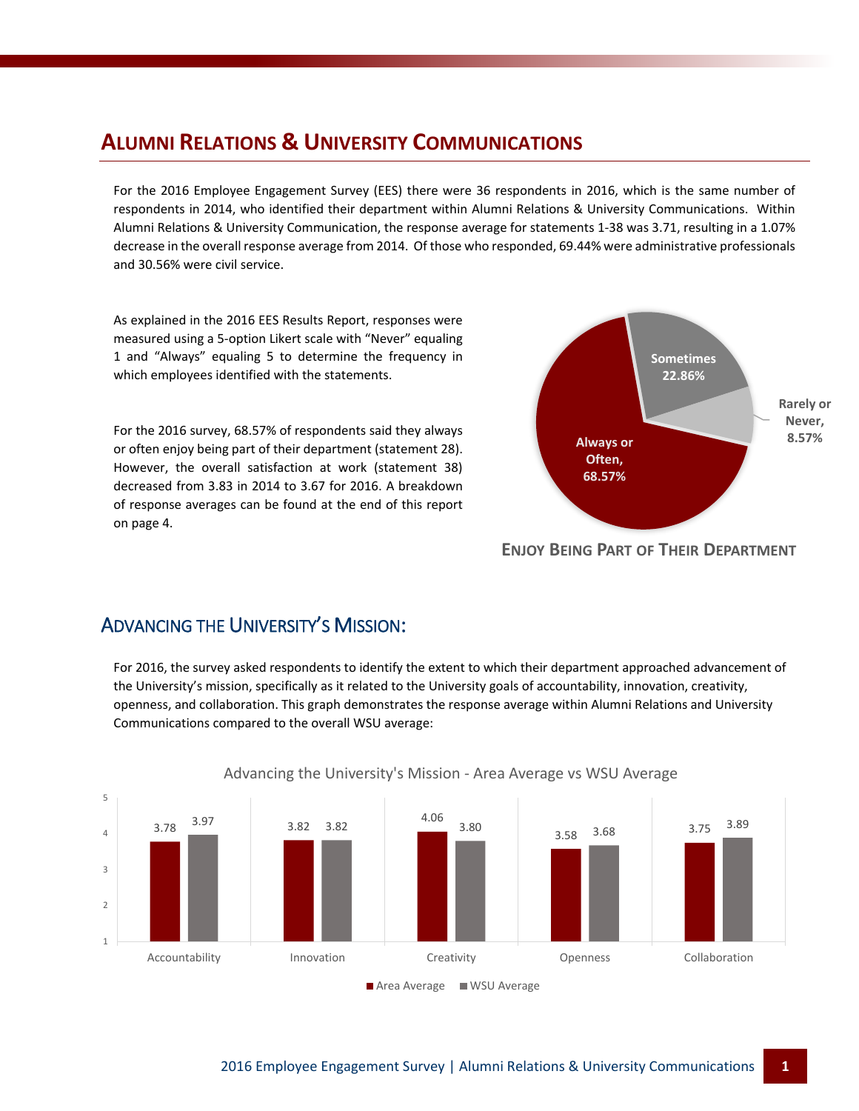## **ALUMNI RELATIONS & UNIVERSITY COMMUNICATIONS**

For the 2016 Employee Engagement Survey (EES) there were 36 respondents in 2016, which is the same number of respondents in 2014, who identified their department within Alumni Relations & University Communications. Within Alumni Relations & University Communication, the response average for statements 1-38 was 3.71, resulting in a 1.07% decrease in the overall response average from 2014. Of those who responded, 69.44% were administrative professionals and 30.56% were civil service.

As explained in the 2016 EES Results Report, responses were measured using a 5-option Likert scale with "Never" equaling 1 and "Always" equaling 5 to determine the frequency in which employees identified with the statements.

For the 2016 survey, 68.57% of respondents said they always or often enjoy being part of their department (statement 28). However, the overall satisfaction at work (statement 38) decreased from 3.83 in 2014 to 3.67 for 2016. A breakdown of response averages can be found at the end of this report on page 4.



#### **ENJOY BEING PART OF THEIR DEPARTMENT**

## ADVANCING THE UNIVERSITY'S MISSION:

For 2016, the survey asked respondents to identify the extent to which their department approached advancement of the University's mission, specifically as it related to the University goals of accountability, innovation, creativity, openness, and collaboration. This graph demonstrates the response average within Alumni Relations and University Communications compared to the overall WSU average:



#### Advancing the University's Mission - Area Average vs WSU Average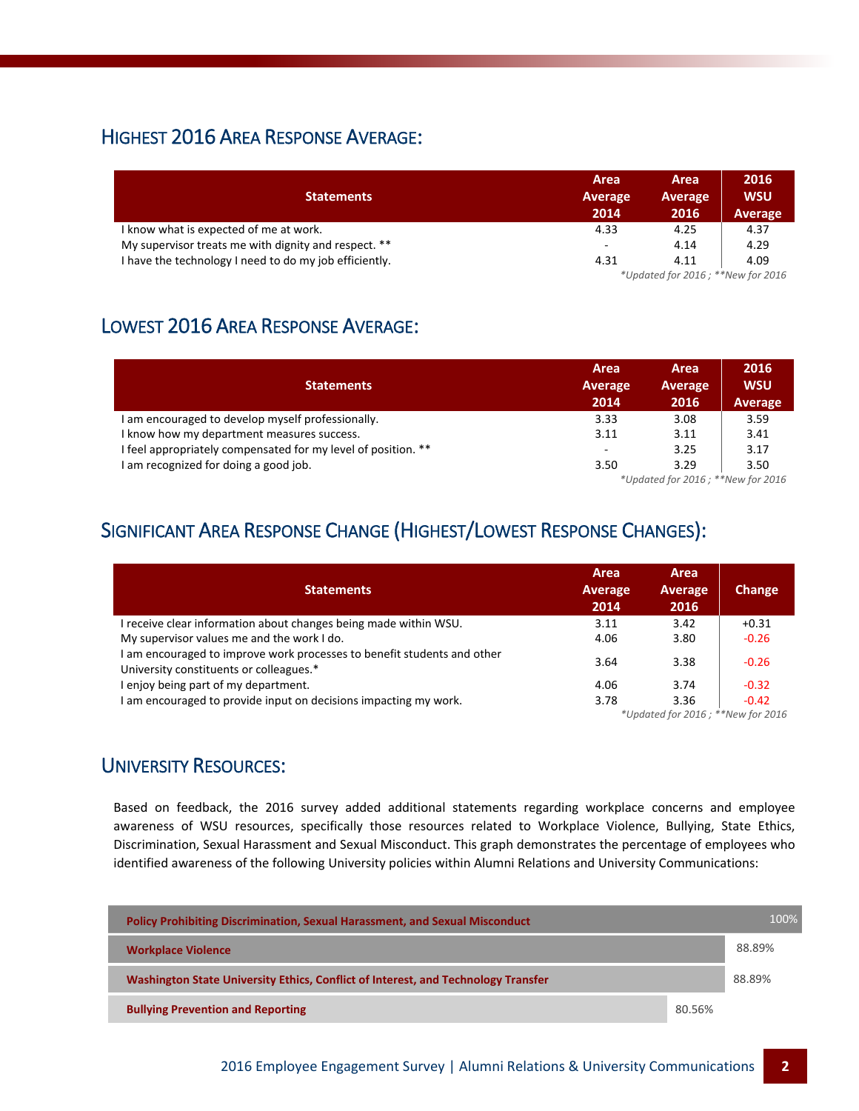## HIGHEST 2016 AREA RESPONSE AVERAGE:

|                                                        | Area                              | Area           | 2016       |  |
|--------------------------------------------------------|-----------------------------------|----------------|------------|--|
| <b>Statements</b>                                      | Average                           | <b>Average</b> | <b>WSU</b> |  |
|                                                        | 2014                              | 2016           | Average    |  |
| I know what is expected of me at work.                 | 4.33                              | 4.25           | 4.37       |  |
| My supervisor treats me with dignity and respect. **   | $\overline{\phantom{a}}$          | 4.14           | 4.29       |  |
| I have the technology I need to do my job efficiently. | 4.31                              | 4.11           | 4.09       |  |
|                                                        | *Updated for 2016; **New for 2016 |                |            |  |

## LOWEST 2016 AREA RESPONSE AVERAGE:

|                                                               | Area                              | Area    | 2016       |
|---------------------------------------------------------------|-----------------------------------|---------|------------|
| <b>Statements</b>                                             | Average                           | Average | <b>WSU</b> |
|                                                               | 2014                              | 2016    | Average    |
| I am encouraged to develop myself professionally.             | 3.33                              | 3.08    | 3.59       |
| I know how my department measures success.                    | 3.11                              | 3.11    | 3.41       |
| I feel appropriately compensated for my level of position. ** | $\overline{\phantom{a}}$          | 3.25    | 3.17       |
| I am recognized for doing a good job.                         | 3.50                              | 3.29    | 3.50       |
|                                                               | *Updated for 2016; **New for 2016 |         |            |

## SIGNIFICANT AREA RESPONSE CHANGE (HIGHEST/LOWEST RESPONSE CHANGES):

| <b>Statements</b>                                                                                                  | Area<br>Average<br>2014                       | Area<br>Average<br>2016 | Change  |
|--------------------------------------------------------------------------------------------------------------------|-----------------------------------------------|-------------------------|---------|
| I receive clear information about changes being made within WSU.                                                   | 3.11                                          | 3.42                    | $+0.31$ |
| My supervisor values me and the work I do.                                                                         | 4.06                                          | 3.80                    | $-0.26$ |
| I am encouraged to improve work processes to benefit students and other<br>University constituents or colleagues.* | 3.64                                          | 3.38                    | $-0.26$ |
| I enjoy being part of my department.                                                                               | 4.06                                          | 3.74                    | $-0.32$ |
| I am encouraged to provide input on decisions impacting my work.                                                   | 3.78                                          | 3.36                    | $-0.42$ |
|                                                                                                                    | $*$ Indated for $2016 \cdot$ **New for $2016$ |                         |         |

*\*Updated for 2016 ; \*\*New for 2016*

## UNIVERSITY RESOURCES:

Based on feedback, the 2016 survey added additional statements regarding workplace concerns and employee awareness of WSU resources, specifically those resources related to Workplace Violence, Bullying, State Ethics, Discrimination, Sexual Harassment and Sexual Misconduct. This graph demonstrates the percentage of employees who identified awareness of the following University policies within Alumni Relations and University Communications:

| <b>Policy Prohibiting Discrimination, Sexual Harassment, and Sexual Misconduct</b> |        | $100\%$ |
|------------------------------------------------------------------------------------|--------|---------|
| <b>Workplace Violence</b>                                                          |        | 88.89%  |
| Washington State University Ethics, Conflict of Interest, and Technology Transfer  |        | 88.89%  |
| <b>Bullying Prevention and Reporting</b>                                           | 80.56% |         |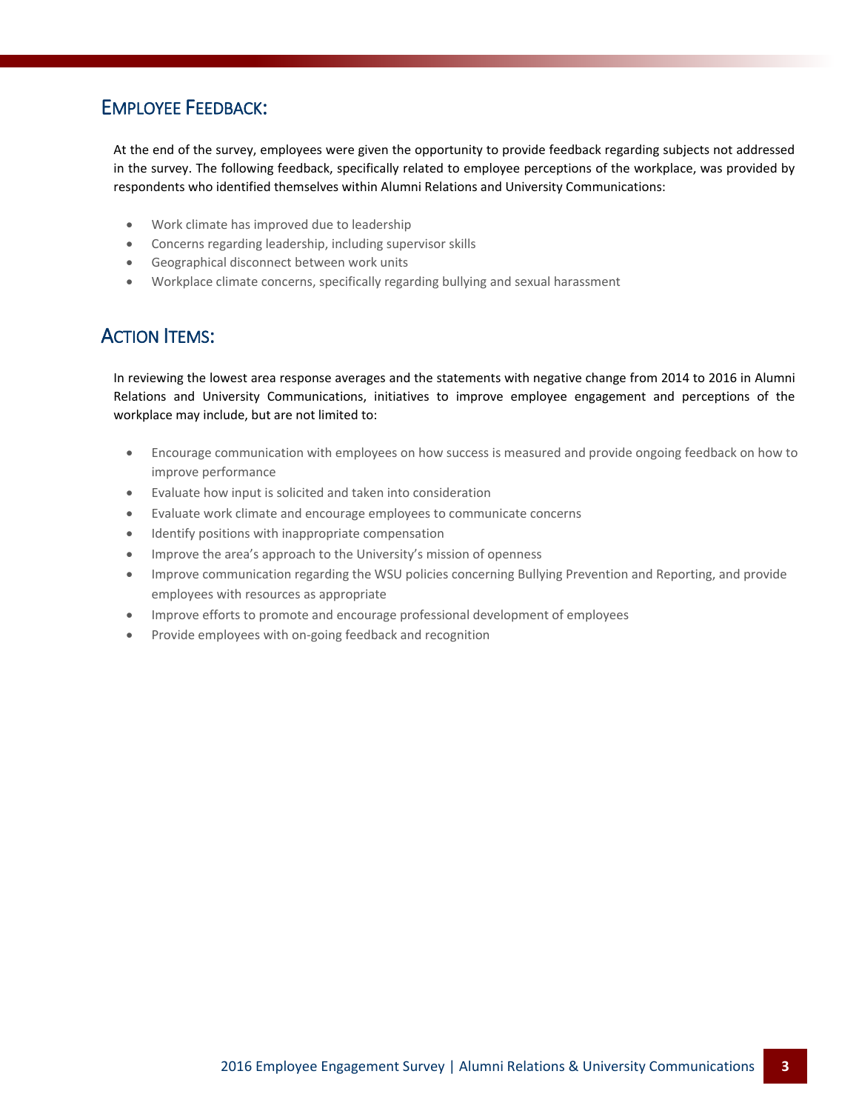## EMPLOYEE FEEDBACK:

At the end of the survey, employees were given the opportunity to provide feedback regarding subjects not addressed in the survey. The following feedback, specifically related to employee perceptions of the workplace, was provided by respondents who identified themselves within Alumni Relations and University Communications:

- Work climate has improved due to leadership
- Concerns regarding leadership, including supervisor skills
- Geographical disconnect between work units
- Workplace climate concerns, specifically regarding bullying and sexual harassment

#### ACTION ITEMS:

In reviewing the lowest area response averages and the statements with negative change from 2014 to 2016 in Alumni Relations and University Communications, initiatives to improve employee engagement and perceptions of the workplace may include, but are not limited to:

- Encourage communication with employees on how success is measured and provide ongoing feedback on how to improve performance
- Evaluate how input is solicited and taken into consideration
- Evaluate work climate and encourage employees to communicate concerns
- Identify positions with inappropriate compensation
- Improve the area's approach to the University's mission of openness
- Improve communication regarding the WSU policies concerning Bullying Prevention and Reporting, and provide employees with resources as appropriate
- Improve efforts to promote and encourage professional development of employees
- Provide employees with on-going feedback and recognition